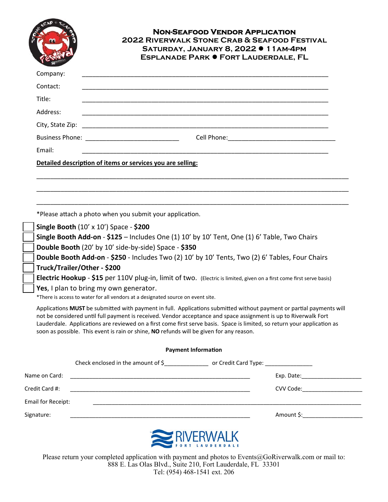|                                      |                                                                                                                                                                                                                                                                                                                                                                                                                                                                                                                                                                                                                                                                                                                                                                                                                                                                                                                                                                                                                                                                                                                                                | <b>NON-SEAFOOD VENDOR APPLICATION</b><br>2022 RIVERWALK STONE CRAB & SEAFOOD FESTIVAL<br>SATURDAY, JANUARY 8, 2022 · 11 AM-4PM<br><b>ESPLANADE PARK · FORT LAUDERDALE, FL</b> |  |  |  |
|--------------------------------------|------------------------------------------------------------------------------------------------------------------------------------------------------------------------------------------------------------------------------------------------------------------------------------------------------------------------------------------------------------------------------------------------------------------------------------------------------------------------------------------------------------------------------------------------------------------------------------------------------------------------------------------------------------------------------------------------------------------------------------------------------------------------------------------------------------------------------------------------------------------------------------------------------------------------------------------------------------------------------------------------------------------------------------------------------------------------------------------------------------------------------------------------|-------------------------------------------------------------------------------------------------------------------------------------------------------------------------------|--|--|--|
| Company:                             |                                                                                                                                                                                                                                                                                                                                                                                                                                                                                                                                                                                                                                                                                                                                                                                                                                                                                                                                                                                                                                                                                                                                                |                                                                                                                                                                               |  |  |  |
| Contact:                             |                                                                                                                                                                                                                                                                                                                                                                                                                                                                                                                                                                                                                                                                                                                                                                                                                                                                                                                                                                                                                                                                                                                                                |                                                                                                                                                                               |  |  |  |
| Title:                               |                                                                                                                                                                                                                                                                                                                                                                                                                                                                                                                                                                                                                                                                                                                                                                                                                                                                                                                                                                                                                                                                                                                                                |                                                                                                                                                                               |  |  |  |
| Address:                             |                                                                                                                                                                                                                                                                                                                                                                                                                                                                                                                                                                                                                                                                                                                                                                                                                                                                                                                                                                                                                                                                                                                                                |                                                                                                                                                                               |  |  |  |
| City, State Zip:                     |                                                                                                                                                                                                                                                                                                                                                                                                                                                                                                                                                                                                                                                                                                                                                                                                                                                                                                                                                                                                                                                                                                                                                |                                                                                                                                                                               |  |  |  |
|                                      |                                                                                                                                                                                                                                                                                                                                                                                                                                                                                                                                                                                                                                                                                                                                                                                                                                                                                                                                                                                                                                                                                                                                                |                                                                                                                                                                               |  |  |  |
| Email:                               |                                                                                                                                                                                                                                                                                                                                                                                                                                                                                                                                                                                                                                                                                                                                                                                                                                                                                                                                                                                                                                                                                                                                                |                                                                                                                                                                               |  |  |  |
|                                      | Detailed description of items or services you are selling:                                                                                                                                                                                                                                                                                                                                                                                                                                                                                                                                                                                                                                                                                                                                                                                                                                                                                                                                                                                                                                                                                     |                                                                                                                                                                               |  |  |  |
|                                      |                                                                                                                                                                                                                                                                                                                                                                                                                                                                                                                                                                                                                                                                                                                                                                                                                                                                                                                                                                                                                                                                                                                                                |                                                                                                                                                                               |  |  |  |
|                                      |                                                                                                                                                                                                                                                                                                                                                                                                                                                                                                                                                                                                                                                                                                                                                                                                                                                                                                                                                                                                                                                                                                                                                |                                                                                                                                                                               |  |  |  |
|                                      | *Please attach a photo when you submit your application.<br><b>Single Booth <math>(10' \times 10')</math> Space - \$200</b><br>Single Booth Add-on - \$125 - Includes One (1) 10' by 10' Tent, One (1) 6' Table, Two Chairs<br>Double Booth (20' by 10' side-by-side) Space - \$350<br>Double Booth Add-on - \$250 - Includes Two (2) 10' by 10' Tents, Two (2) 6' Tables, Four Chairs<br>Truck/Trailer/Other - \$200<br>Electric Hookup - \$15 per 110V plug-in, limit of two. (Electric is limited, given on a first come first serve basis)<br>Yes, I plan to bring my own generator.<br>*There is access to water for all vendors at a designated source on event site.<br>Applications MUST be submitted with payment in full. Applications submitted without payment or partial payments will<br>not be considered until full payment is received. Vendor acceptance and space assignment is up to Riverwalk Fort<br>Lauderdale. Applications are reviewed on a first come first serve basis. Space is limited, so return your application as<br>soon as possible. This event is rain or shine, NO refunds will be given for any reason. |                                                                                                                                                                               |  |  |  |
|                                      |                                                                                                                                                                                                                                                                                                                                                                                                                                                                                                                                                                                                                                                                                                                                                                                                                                                                                                                                                                                                                                                                                                                                                | <b>Payment Information</b>                                                                                                                                                    |  |  |  |
|                                      | Check enclosed in the amount of \$________________________ or Credit Card Type: ____________________                                                                                                                                                                                                                                                                                                                                                                                                                                                                                                                                                                                                                                                                                                                                                                                                                                                                                                                                                                                                                                           |                                                                                                                                                                               |  |  |  |
| Name on Card:                        | <u> 1980 - Johann Barn, mars an t-Amerikaansk politiker (* 1908)</u>                                                                                                                                                                                                                                                                                                                                                                                                                                                                                                                                                                                                                                                                                                                                                                                                                                                                                                                                                                                                                                                                           |                                                                                                                                                                               |  |  |  |
|                                      |                                                                                                                                                                                                                                                                                                                                                                                                                                                                                                                                                                                                                                                                                                                                                                                                                                                                                                                                                                                                                                                                                                                                                |                                                                                                                                                                               |  |  |  |
| Credit Card #:<br>Email for Receipt: |                                                                                                                                                                                                                                                                                                                                                                                                                                                                                                                                                                                                                                                                                                                                                                                                                                                                                                                                                                                                                                                                                                                                                | <u> 1989 - Johann John Stone, markin bashkar (b. 1989)</u>                                                                                                                    |  |  |  |

Please return your completed application with payment and photos to Events@GoRiverwalk.com or mail to: 888 E. Las Olas Blvd., Suite 210, Fort Lauderdale, FL 33301 Tel: (954) 468-1541 ext. 206